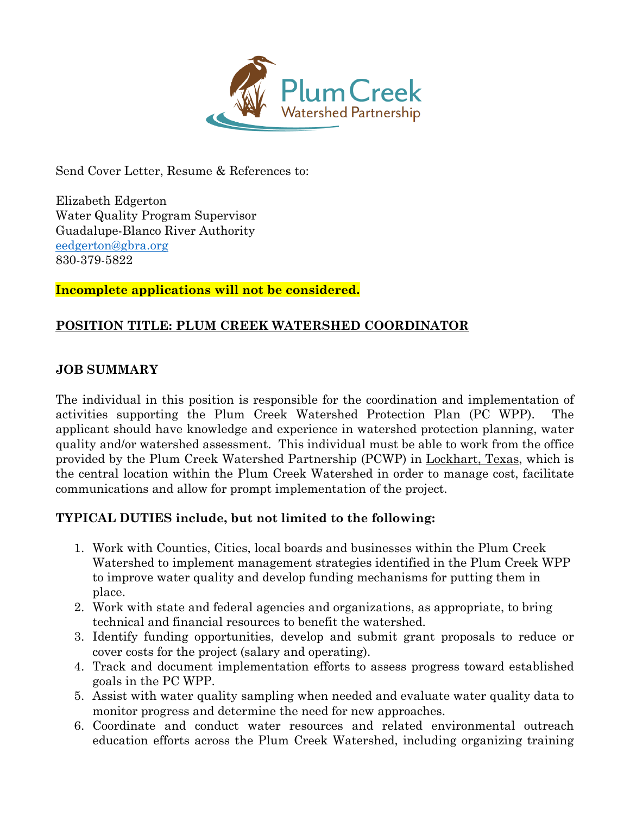

Send Cover Letter, Resume & References to:

Elizabeth Edgerton Water Quality Program Supervisor Guadalupe-Blanco River Authority [eedgerton@gbra.org](mailto:eedgerton@gbra.org) 830-379-5822

**Incomplete applications will not be considered.**

# **POSITION TITLE: PLUM CREEK WATERSHED COORDINATOR**

## **JOB SUMMARY**

The individual in this position is responsible for the coordination and implementation of activities supporting the Plum Creek Watershed Protection Plan (PC WPP). The applicant should have knowledge and experience in watershed protection planning, water quality and/or watershed assessment. This individual must be able to work from the office provided by the Plum Creek Watershed Partnership (PCWP) in Lockhart, Texas, which is the central location within the Plum Creek Watershed in order to manage cost, facilitate communications and allow for prompt implementation of the project.

## **TYPICAL DUTIES include, but not limited to the following:**

- 1. Work with Counties, Cities, local boards and businesses within the Plum Creek Watershed to implement management strategies identified in the Plum Creek WPP to improve water quality and develop funding mechanisms for putting them in place.
- 2. Work with state and federal agencies and organizations, as appropriate, to bring technical and financial resources to benefit the watershed.
- 3. Identify funding opportunities, develop and submit grant proposals to reduce or cover costs for the project (salary and operating).
- 4. Track and document implementation efforts to assess progress toward established goals in the PC WPP.
- 5. Assist with water quality sampling when needed and evaluate water quality data to monitor progress and determine the need for new approaches.
- 6. Coordinate and conduct water resources and related environmental outreach education efforts across the Plum Creek Watershed, including organizing training